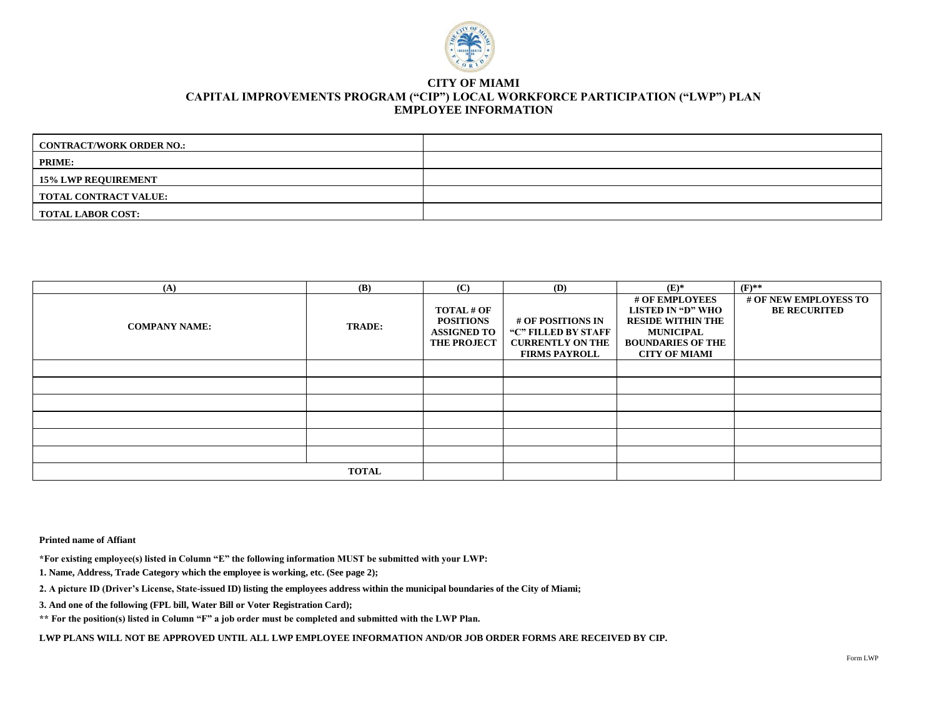

#### **CITY OF MIAMI CAPITAL IMPROVEMENTS PROGRAM ("CIP") LOCAL WORKFORCE PARTICIPATION ("LWP") PLAN EMPLOYEE INFORMATION**

| <b>CONTRACT/WORK ORDER NO.:</b> |  |
|---------------------------------|--|
| <b>PRIME:</b>                   |  |
| <b>15% LWP REQUIREMENT</b>      |  |
| <b>TOTAL CONTRACT VALUE:</b>    |  |
| <b>TOTAL LABOR COST:</b>        |  |

| (A)                  | <b>(B)</b>    | (C)                                                                               | (D)                                                                                         | $(E)^*$                                                                                                                                 | $(F)$ **                                     |
|----------------------|---------------|-----------------------------------------------------------------------------------|---------------------------------------------------------------------------------------------|-----------------------------------------------------------------------------------------------------------------------------------------|----------------------------------------------|
| <b>COMPANY NAME:</b> | <b>TRADE:</b> | <b>TOTAL # OF</b><br><b>POSITIONS</b><br><b>ASSIGNED TO</b><br><b>THE PROJECT</b> | # OF POSITIONS IN<br>"C" FILLED BY STAFF<br><b>CURRENTLY ON THE</b><br><b>FIRMS PAYROLL</b> | # OF EMPLOYEES<br>LISTED IN "D" WHO<br><b>RESIDE WITHIN THE</b><br><b>MUNICIPAL</b><br><b>BOUNDARIES OF THE</b><br><b>CITY OF MIAMI</b> | # OF NEW EMPLOYESS TO<br><b>BE RECURITED</b> |
|                      |               |                                                                                   |                                                                                             |                                                                                                                                         |                                              |
|                      |               |                                                                                   |                                                                                             |                                                                                                                                         |                                              |
|                      |               |                                                                                   |                                                                                             |                                                                                                                                         |                                              |
|                      |               |                                                                                   |                                                                                             |                                                                                                                                         |                                              |
|                      |               |                                                                                   |                                                                                             |                                                                                                                                         |                                              |
|                      |               |                                                                                   |                                                                                             |                                                                                                                                         |                                              |
|                      | <b>TOTAL</b>  |                                                                                   |                                                                                             |                                                                                                                                         |                                              |

**Printed name of Affiant** 

**\*For existing employee(s) listed in Column "E" the following information MUST be submitted with your LWP:** 

**1. Name, Address, Trade Category which the employee is working, etc. (See page 2);** 

**2. A picture ID (Driver's License, State-issued ID) listing the employees address within the municipal boundaries of the City of Miami;** 

**3. And one of the following (FPL bill, Water Bill or Voter Registration Card);** 

**\*\* For the position(s) listed in Column "F" a job order must be completed and submitted with the LWP Plan.** 

LWP PLANS WILL NOT BE APPROVED UNTIL ALL LWP EMPLOYEE INFORMATION AND/OR JOB ORDER FORMS ARE RECEIVED BY CIP.